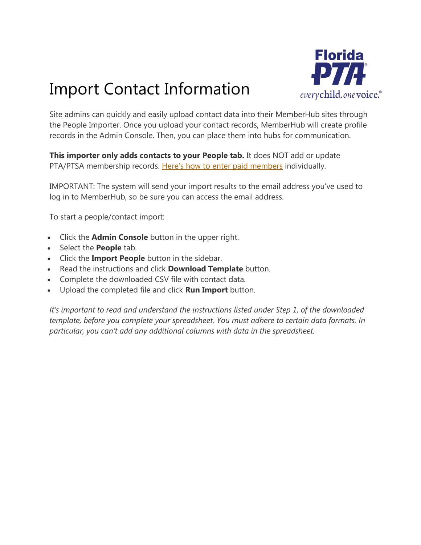## Import Contact Information



Site admins can quickly and easily upload contact data into their MemberHub sites through the People Importer. Once you upload your contact records, MemberHub will create profile records in the Admin Console. Then, you can place them into hubs for communication.

**This importer only adds contacts to your People tab.** It does NOT add or update PTA/PTSA membership records. H[ere's how to](https://support.memberhub.com/hc/en-us/articles/115001448274-Enter-PTA-Members-Cash-Check-) [enter paid members](https://support.memberhub.com/hc/en-us/articles/115001448274-Enter-PTA-Members-Cash-Check-) individually.

IMPORTANT: The system will send your import results to the email address you've used to log in to MemberHub, so be sure you can access the email address.

To start a people/contact import:

- Click the **Admin Console** button in the upper right.
- **Select the People tab.**
- Click the **Import People** button in the sidebar.
- Read the instructions and click **Download Template** button.
- Complete the downloaded CSV file with contact data.
- Upload the completed file and click **Run Import** button.

*It's important to read and understand the instructions listed under Step 1, of the downloaded template, before you complete your spreadsheet. You must adhere to certain data formats. In particular, you can't add any additional columns with data in the spreadsheet.*